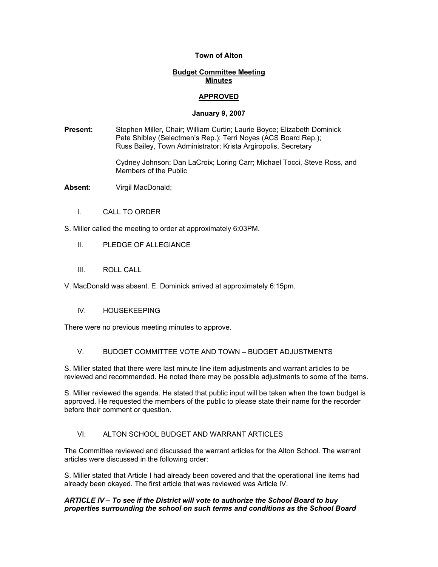### **Town of Alton**

### **Budget Committee Meeting Minutes**

# **APPROVED**

### **January 9, 2007**

**Present:** Stephen Miller, Chair; William Curtin; Laurie Boyce; Elizabeth Dominick Pete Shibley (Selectmen's Rep.); Terri Noyes (ACS Board Rep.); Russ Bailey, Town Administrator; Krista Argiropolis, Secretary

> Cydney Johnson; Dan LaCroix; Loring Carr; Michael Tocci, Steve Ross, and Members of the Public

**Absent:** Virgil MacDonald;

I. CALL TO ORDER

S. Miller called the meeting to order at approximately 6:03PM.

- II. PLEDGE OF ALLEGIANCE
- III. ROLL CALL

V. MacDonald was absent. E. Dominick arrived at approximately 6:15pm.

### IV. HOUSEKEEPING

There were no previous meeting minutes to approve.

### V. BUDGET COMMITTEE VOTE AND TOWN – BUDGET ADJUSTMENTS

S. Miller stated that there were last minute line item adjustments and warrant articles to be reviewed and recommended. He noted there may be possible adjustments to some of the items.

S. Miller reviewed the agenda. He stated that public input will be taken when the town budget is approved. He requested the members of the public to please state their name for the recorder before their comment or question.

# VI. ALTON SCHOOL BUDGET AND WARRANT ARTICLES

The Committee reviewed and discussed the warrant articles for the Alton School. The warrant articles were discussed in the following order:

S. Miller stated that Article I had already been covered and that the operational line items had already been okayed. The first article that was reviewed was Article IV.

### *ARTICLE IV – To see if the District will vote to authorize the School Board to buy properties surrounding the school on such terms and conditions as the School Board*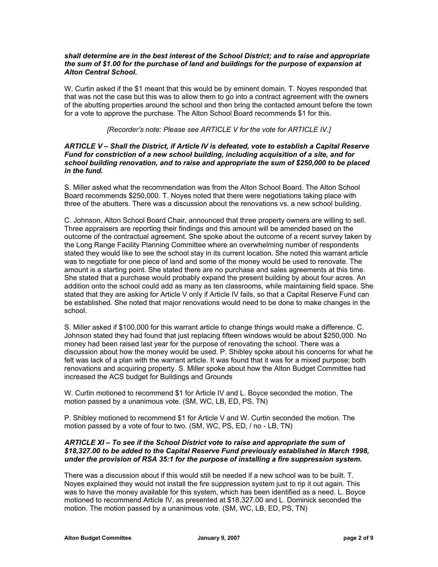#### *shall determine are in the best interest of the School District; and to raise and appropriate the sum of \$1.00 for the purchase of land and buildings for the purpose of expansion at Alton Central School.*

W. Curtin asked if the \$1 meant that this would be by eminent domain. T. Noyes responded that that was not the case but this was to allow them to go into a contract agreement with the owners of the abutting properties around the school and then bring the contacted amount before the town for a vote to approve the purchase. The Alton School Board recommends \$1 for this.

### *[Recorder's note: Please see ARTICLE V for the vote for ARTICLE IV.]*

#### *ARTICLE V – Shall the District, if Article IV is defeated, vote to establish a Capital Reserve Fund for constriction of a new school building, including acquisition of a site, and for school building renovation, and to raise and appropriate the sum of \$250,000 to be placed in the fund.*

S. Miller asked what the recommendation was from the Alton School Board. The Alton School Board recommends \$250,000. T. Noyes noted that there were negotiations taking place with three of the abutters. There was a discussion about the renovations vs. a new school building.

C. Johnson, Alton School Board Chair, announced that three property owners are willing to sell. Three appraisers are reporting their findings and this amount will be amended based on the outcome of the contractual agreement. She spoke about the outcome of a recent survey taken by the Long Range Facility Planning Committee where an overwhelming number of respondents stated they would like to see the school stay in its current location. She noted this warrant article was to negotiate for one piece of land and some of the money would be used to renovate. The amount is a starting point. She stated there are no purchase and sales agreements at this time. She stated that a purchase would probably expand the present building by about four acres. An addition onto the school could add as many as ten classrooms, while maintaining field space. She stated that they are asking for Article V only if Article IV fails, so that a Capital Reserve Fund can be established. She noted that major renovations would need to be done to make changes in the school.

S. Miller asked if \$100,000 for this warrant article to change things would make a difference. C. Johnson stated they had found that just replacing fifteen windows would be about \$250,000. No money had been raised last year for the purpose of renovating the school. There was a discussion about how the money would be used. P. Shibley spoke about his concerns for what he felt was lack of a plan with the warrant article. It was found that it was for a mixed purpose; both renovations and acquiring property. S. Miller spoke about how the Alton Budget Committee had increased the ACS budget for Buildings and Grounds

W. Curtin motioned to recommend \$1 for Article IV and L. Boyce seconded the motion. The motion passed by a unanimous vote. (SM, WC, LB, ED, PS, TN)

P. Shibley motioned to recommend \$1 for Article V and W. Curtin seconded the motion. The motion passed by a vote of four to two. (SM, WC, PS, ED, / no - LB, TN)

### *ARTICLE XI – To see if the School District vote to raise and appropriate the sum of \$18,327.00 to be added to the Capital Reserve Fund previously established in March 1998, under the provision of RSA 35:1 for the purpose of installing a fire suppression system.*

There was a discussion about if this would still be needed if a new school was to be built. T. Noyes explained they would not install the fire suppression system just to rip it out again. This was to have the money available for this system, which has been identified as a need. L. Boyce motioned to recommend Article IV, as presented at \$18,327.00 and L. Dominick seconded the motion. The motion passed by a unanimous vote. (SM, WC, LB, ED, PS, TN)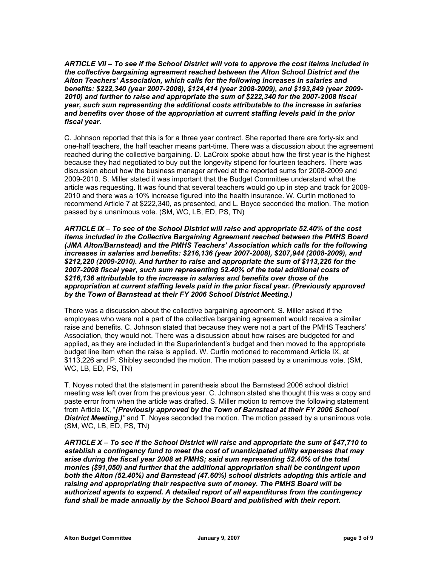*ARTICLE VII – To see if the School District will vote to approve the cost iteims included in the collective bargaining agreement reached between the Alton School District and the Alton Teachers' Association, which calls for the following increases in salaries and benefits: \$222,340 (year 2007-2008), \$124,414 (year 2008-2009), and \$193,849 (year 2009- 2010) and further to raise and appropriate the sum of \$222,340 for the 2007-2008 fiscal year, such sum representing the additional costs attributable to the increase in salaries and benefits over those of the appropriation at current staffing levels paid in the prior fiscal year.* 

C. Johnson reported that this is for a three year contract. She reported there are forty-six and one-half teachers, the half teacher means part-time. There was a discussion about the agreement reached during the collective bargaining. D. LaCroix spoke about how the first year is the highest because they had negotiated to buy out the longevity stipend for fourteen teachers. There was discussion about how the business manager arrived at the reported sums for 2008-2009 and 2009-2010. S. Miller stated it was important that the Budget Committee understand what the article was requesting. It was found that several teachers would go up in step and track for 2009- 2010 and there was a 10% increase figured into the health insurance. W. Curtin motioned to recommend Article 7 at \$222,340, as presented, and L. Boyce seconded the motion. The motion passed by a unanimous vote. (SM, WC, LB, ED, PS, TN)

*ARTICLE IX – To see of the School District will raise and appropriate 52.40% of the cost items included in the Collective Bargaining Agreement reached between the PMHS Board (JMA Alton/Barnstead) and the PMHS Teachers' Association which calls for the following increases in salaries and benefits: \$216,136 (year 2007-2008), \$207,944 (2008-2009), and \$212,220 (2009-2010). And further to raise and appropriate the sum of \$113,226 for the 2007-2008 fiscal year, such sum representing 52.40% of the total additional costs of \$216,136 attributable to the increase in salaries and benefits over those of the appropriation at current staffing levels paid in the prior fiscal year. (Previously approved by the Town of Barnstead at their FY 2006 School District Meeting.)* 

There was a discussion about the collective bargaining agreement. S. Miller asked if the employees who were not a part of the collective bargaining agreement would receive a similar raise and benefits. C. Johnson stated that because they were not a part of the PMHS Teachers' Association, they would not. There was a discussion about how raises are budgeted for and applied, as they are included in the Superintendent's budget and then moved to the appropriate budget line item when the raise is applied. W. Curtin motioned to recommend Article IX, at \$113,226 and P. Shibley seconded the motion. The motion passed by a unanimous vote. (SM, WC, LB, ED, PS, TN)

T. Noyes noted that the statement in parenthesis about the Barnstead 2006 school district meeting was left over from the previous year. C. Johnson stated she thought this was a copy and paste error from when the article was drafted. S. Miller motion to remove the following statement from Article IX, "*(Previously approved by the Town of Barnstead at their FY 2006 School*  **District Meeting.)**<sup>*n*</sup> and T. Noyes seconded the motion. The motion passed by a unanimous vote. (SM, WC, LB, ED, PS, TN)

*ARTICLE X – To see if the School District will raise and appropriate the sum of \$47,710 to establish a contingency fund to meet the cost of unanticipated utility expenses that may arise during the fiscal year 2008 at PMHS; said sum representing 52.40% of the total monies (\$91,050) and further that the additional appropriation shall be contingent upon both the Alton (52.40%) and Barnstead (47.60%) school districts adopting this article and raising and appropriating their respective sum of money. The PMHS Board will be authorized agents to expend. A detailed report of all expenditures from the contingency fund shall be made annually by the School Board and published with their report.*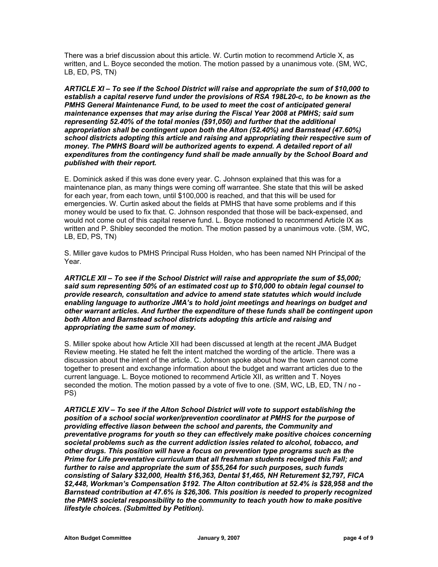There was a brief discussion about this article. W. Curtin motion to recommend Article X, as written, and L. Boyce seconded the motion. The motion passed by a unanimous vote. (SM, WC, LB, ED, PS, TN)

*ARTICLE XI – To see if the School District will raise and appropriate the sum of \$10,000 to establish a capital reserve fund under the provisions of RSA 198L20-c, to be known as the PMHS General Maintenance Fund, to be used to meet the cost of anticipated general maintenance expenses that may arise during the Fiscal Year 2008 at PMHS; said sum representing 52.40% of the total monies (\$91,050) and further that the additional appropriation shall be contingent upon both the Alton (52.40%) and Barnstead (47.60%) school districts adopting this article and raising and appropriating their respective sum of money. The PMHS Board will be authorized agents to expend. A detailed report of all expenditures from the contingency fund shall be made annually by the School Board and published with their report.* 

E. Dominick asked if this was done every year. C. Johnson explained that this was for a maintenance plan, as many things were coming off warrantee. She state that this will be asked for each year, from each town, until \$100,000 is reached, and that this will be used for emergencies. W. Curtin asked about the fields at PMHS that have some problems and if this money would be used to fix that. C. Johnson responded that those will be back-expensed, and would not come out of this capital reserve fund. L. Boyce motioned to recommend Article IX as written and P. Shibley seconded the motion. The motion passed by a unanimous vote. (SM, WC, LB, ED, PS, TN)

S. Miller gave kudos to PMHS Principal Russ Holden, who has been named NH Principal of the Year.

*ARTICLE XII – To see if the School District will raise and appropriate the sum of \$5,000; said sum representing 50% of an estimated cost up to \$10,000 to obtain legal counsel to provide research, consultation and advice to amend state statutes which would include enabling language to authorize JMA's to hold joint meetings and hearings on budget and other warrant articles. And further the expenditure of these funds shall be contingent upon both Alton and Barnstead school districts adopting this article and raising and appropriating the same sum of money.* 

S. Miller spoke about how Article XII had been discussed at length at the recent JMA Budget Review meeting. He stated he felt the intent matched the wording of the article. There was a discussion about the intent of the article. C. Johnson spoke about how the town cannot come together to present and exchange information about the budget and warrant articles due to the current language. L. Boyce motioned to recommend Article XII, as written and T. Noyes seconded the motion. The motion passed by a vote of five to one. (SM, WC, LB, ED, TN / no - PS)

*ARTICLE XIV – To see if the Alton School District will vote to support establishing the position of a school social worker/prevention coordinator at PMHS for the purpose of providing effective liason between the school and parents, the Community and preventative programs for youth so they can effectively make positive choices concerning societal problems such as the current addiction issies related to alcohol, tobacco, and other drugs. This position will have a focus on prevention type programs such as the Prime for Life preventative curriculum that all freshman students receiged this Fall; and further to raise and appropriate the sum of \$55,264 for such purposes, such funds consisting of Salary \$32,000, Health \$16,363, Dental \$1,465, NH Returement \$2,797, FICA \$2,448, Workman's Compensation \$192. The Alton contribution at 52.4% is \$28,958 and the Barnstead contribution at 47.6% is \$26,306. This position is needed to properly recognized the PMHS societal responsibility to the community to teach youth how to make positive lifestyle choices. (Submitted by Petition).*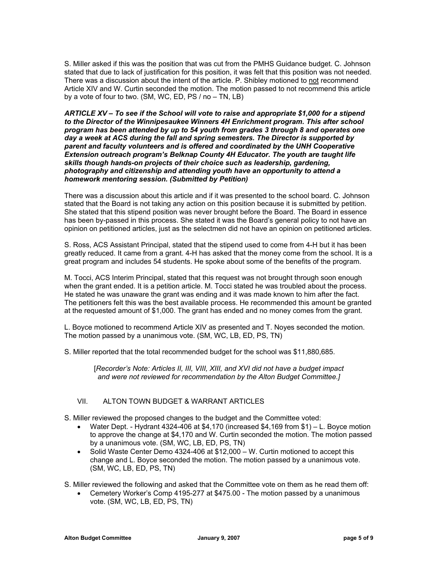S. Miller asked if this was the position that was cut from the PMHS Guidance budget. C. Johnson stated that due to lack of justification for this position, it was felt that this position was not needed. There was a discussion about the intent of the article. P. Shibley motioned to not recommend Article XIV and W. Curtin seconded the motion. The motion passed to not recommend this article by a vote of four to two. (SM, WC, ED, PS / no – TN, LB)

*ARTICLE XV – To see if the School will vote to raise and appropriate \$1,000 for a stipend to the Director of the Winnipesaukee Winners 4H Enrichment program. This after school program has been attended by up to 54 youth from grades 3 through 8 and operates one day a week at ACS during the fall and spring semesters. The Director is supported by parent and faculty volunteers and is offered and coordinated by the UNH Cooperative Extension outreach program's Belknap County 4H Educator. The youth are taught life skills though hands-on projects of their choice such as leadership, gardening, photography and citizenship and attending youth have an opportunity to attend a homework mentoring session. (Submitted by Petition)* 

There was a discussion about this article and if it was presented to the school board. C. Johnson stated that the Board is not taking any action on this position because it is submitted by petition. She stated that this stipend position was never brought before the Board. The Board in essence has been by-passed in this process. She stated it was the Board's general policy to not have an opinion on petitioned articles, just as the selectmen did not have an opinion on petitioned articles.

S. Ross, ACS Assistant Principal, stated that the stipend used to come from 4-H but it has been greatly reduced. It came from a grant. 4-H has asked that the money come from the school. It is a great program and includes 54 students. He spoke about some of the benefits of the program.

M. Tocci, ACS Interim Principal, stated that this request was not brought through soon enough when the grant ended. It is a petition article. M. Tocci stated he was troubled about the process. He stated he was unaware the grant was ending and it was made known to him after the fact. The petitioners felt this was the best available process. He recommended this amount be granted at the requested amount of \$1,000. The grant has ended and no money comes from the grant.

L. Boyce motioned to recommend Article XIV as presented and T. Noyes seconded the motion. The motion passed by a unanimous vote. (SM, WC, LB, ED, PS, TN)

S. Miller reported that the total recommended budget for the school was \$11,880,685.

[*Recorder's Note: Articles II, III, VIII, XIII, and XVI did not have a budget impact and were not reviewed for recommendation by the Alton Budget Committee.]* 

### VII. ALTON TOWN BUDGET & WARRANT ARTICLES

S. Miller reviewed the proposed changes to the budget and the Committee voted:

- Water Dept. Hydrant 4324-406 at \$4,170 (increased \$4,169 from \$1) L. Boyce motion to approve the change at \$4,170 and W. Curtin seconded the motion. The motion passed by a unanimous vote. (SM, WC, LB, ED, PS, TN)
- Solid Waste Center Demo 4324-406 at \$12,000 W. Curtin motioned to accept this change and L. Boyce seconded the motion. The motion passed by a unanimous vote. (SM, WC, LB, ED, PS, TN)
- S. Miller reviewed the following and asked that the Committee vote on them as he read them off:
	- Cemetery Worker's Comp 4195-277 at \$475.00 The motion passed by a unanimous vote. (SM, WC, LB, ED, PS, TN)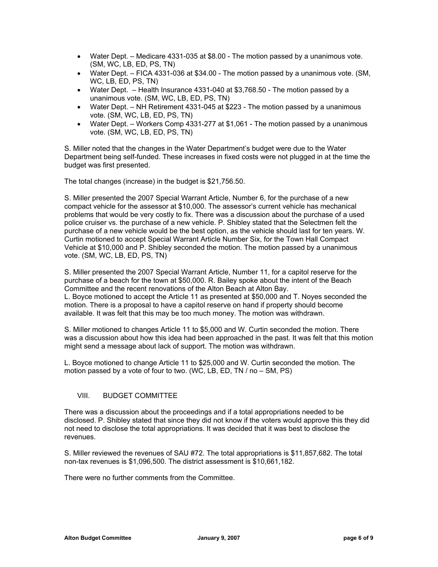- Water Dept. Medicare 4331-035 at \$8.00 The motion passed by a unanimous vote. (SM, WC, LB, ED, PS, TN)
- Water Dept. FICA 4331-036 at \$34.00 The motion passed by a unanimous vote. (SM, WC, LB, ED, PS, TN)
- Water Dept. Health Insurance 4331-040 at \$3,768.50 The motion passed by a unanimous vote. (SM, WC, LB, ED, PS, TN)
- Water Dept. NH Retirement 4331-045 at \$223 The motion passed by a unanimous vote. (SM, WC, LB, ED, PS, TN)
- Water Dept. Workers Comp 4331-277 at \$1,061 The motion passed by a unanimous vote. (SM, WC, LB, ED, PS, TN)

S. Miller noted that the changes in the Water Department's budget were due to the Water Department being self-funded. These increases in fixed costs were not plugged in at the time the budget was first presented.

The total changes (increase) in the budget is \$21,756.50.

S. Miller presented the 2007 Special Warrant Article, Number 6, for the purchase of a new compact vehicle for the assessor at \$10,000. The assessor's current vehicle has mechanical problems that would be very costly to fix. There was a discussion about the purchase of a used police cruiser vs. the purchase of a new vehicle. P. Shibley stated that the Selectmen felt the purchase of a new vehicle would be the best option, as the vehicle should last for ten years. W. Curtin motioned to accept Special Warrant Article Number Six, for the Town Hall Compact Vehicle at \$10,000 and P. Shibley seconded the motion. The motion passed by a unanimous vote. (SM, WC, LB, ED, PS, TN)

S. Miller presented the 2007 Special Warrant Article, Number 11, for a capitol reserve for the purchase of a beach for the town at \$50,000. R. Bailey spoke about the intent of the Beach Committee and the recent renovations of the Alton Beach at Alton Bay. L. Boyce motioned to accept the Article 11 as presented at \$50,000 and T. Noyes seconded the motion. There is a proposal to have a capitol reserve on hand if property should become available. It was felt that this may be too much money. The motion was withdrawn.

S. Miller motioned to changes Article 11 to \$5,000 and W. Curtin seconded the motion. There was a discussion about how this idea had been approached in the past. It was felt that this motion might send a message about lack of support. The motion was withdrawn.

L. Boyce motioned to change Article 11 to \$25,000 and W. Curtin seconded the motion. The motion passed by a vote of four to two. (WC, LB, ED, TN / no – SM, PS)

### VIII. BUDGET COMMITTEE

There was a discussion about the proceedings and if a total appropriations needed to be disclosed. P. Shibley stated that since they did not know if the voters would approve this they did not need to disclose the total appropriations. It was decided that it was best to disclose the revenues.

S. Miller reviewed the revenues of SAU #72. The total appropriations is \$11,857,682. The total non-tax revenues is \$1,096,500. The district assessment is \$10,661,182.

There were no further comments from the Committee.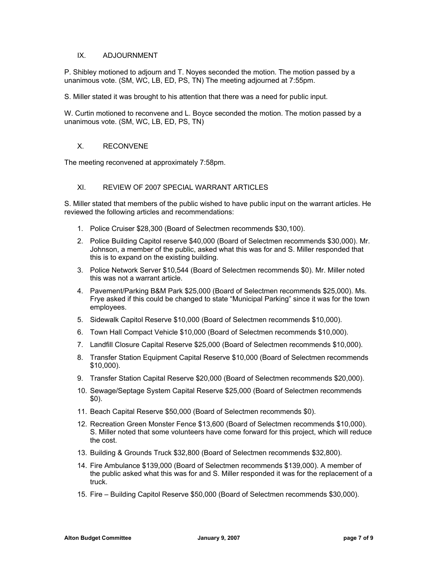### IX. ADJOURNMENT

P. Shibley motioned to adjourn and T. Noyes seconded the motion. The motion passed by a unanimous vote. (SM, WC, LB, ED, PS, TN) The meeting adjourned at 7:55pm.

S. Miller stated it was brought to his attention that there was a need for public input.

W. Curtin motioned to reconvene and L. Boyce seconded the motion. The motion passed by a unanimous vote. (SM, WC, LB, ED, PS, TN)

#### X. RECONVENE

The meeting reconvened at approximately 7:58pm.

#### XI. REVIEW OF 2007 SPECIAL WARRANT ARTICLES

S. Miller stated that members of the public wished to have public input on the warrant articles. He reviewed the following articles and recommendations:

- 1. Police Cruiser \$28,300 (Board of Selectmen recommends \$30,100).
- 2. Police Building Capitol reserve \$40,000 (Board of Selectmen recommends \$30,000). Mr. Johnson, a member of the public, asked what this was for and S. Miller responded that this is to expand on the existing building.
- 3. Police Network Server \$10,544 (Board of Selectmen recommends \$0). Mr. Miller noted this was not a warrant article.
- 4. Pavement/Parking B&M Park \$25,000 (Board of Selectmen recommends \$25,000). Ms. Frye asked if this could be changed to state "Municipal Parking" since it was for the town employees.
- 5. Sidewalk Capitol Reserve \$10,000 (Board of Selectmen recommends \$10,000).
- 6. Town Hall Compact Vehicle \$10,000 (Board of Selectmen recommends \$10,000).
- 7. Landfill Closure Capital Reserve \$25,000 (Board of Selectmen recommends \$10,000).
- 8. Transfer Station Equipment Capital Reserve \$10,000 (Board of Selectmen recommends \$10,000).
- 9. Transfer Station Capital Reserve \$20,000 (Board of Selectmen recommends \$20,000).
- 10. Sewage/Septage System Capital Reserve \$25,000 (Board of Selectmen recommends \$0).
- 11. Beach Capital Reserve \$50,000 (Board of Selectmen recommends \$0).
- 12. Recreation Green Monster Fence \$13,600 (Board of Selectmen recommends \$10,000). S. Miller noted that some volunteers have come forward for this project, which will reduce the cost.
- 13. Building & Grounds Truck \$32,800 (Board of Selectmen recommends \$32,800).
- 14. Fire Ambulance \$139,000 (Board of Selectmen recommends \$139,000). A member of the public asked what this was for and S. Miller responded it was for the replacement of a truck.
- 15. Fire Building Capitol Reserve \$50,000 (Board of Selectmen recommends \$30,000).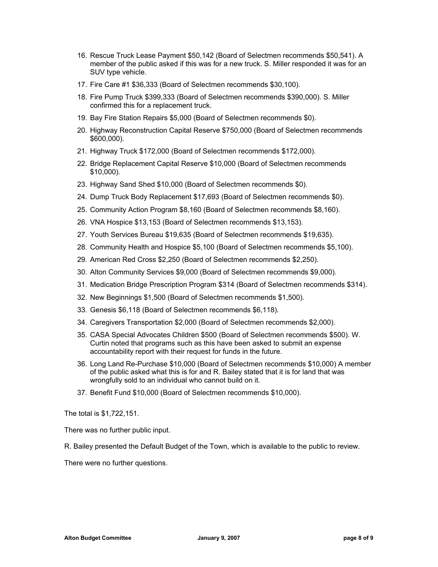- 16. Rescue Truck Lease Payment \$50,142 (Board of Selectmen recommends \$50,541). A member of the public asked if this was for a new truck. S. Miller responded it was for an SUV type vehicle.
- 17. Fire Care #1 \$36,333 (Board of Selectmen recommends \$30,100).
- 18. Fire Pump Truck \$399,333 (Board of Selectmen recommends \$390,000). S. Miller confirmed this for a replacement truck.
- 19. Bay Fire Station Repairs \$5,000 (Board of Selectmen recommends \$0).
- 20. Highway Reconstruction Capital Reserve \$750,000 (Board of Selectmen recommends \$600,000).
- 21. Highway Truck \$172,000 (Board of Selectmen recommends \$172,000).
- 22. Bridge Replacement Capital Reserve \$10,000 (Board of Selectmen recommends \$10,000).
- 23. Highway Sand Shed \$10,000 (Board of Selectmen recommends \$0).
- 24. Dump Truck Body Replacement \$17,693 (Board of Selectmen recommends \$0).
- 25. Community Action Program \$8,160 (Board of Selectmen recommends \$8,160).
- 26. VNA Hospice \$13,153 (Board of Selectmen recommends \$13,153).
- 27. Youth Services Bureau \$19,635 (Board of Selectmen recommends \$19,635).
- 28. Community Health and Hospice \$5,100 (Board of Selectmen recommends \$5,100).
- 29. American Red Cross \$2,250 (Board of Selectmen recommends \$2,250).
- 30. Alton Community Services \$9,000 (Board of Selectmen recommends \$9,000).
- 31. Medication Bridge Prescription Program \$314 (Board of Selectmen recommends \$314).
- 32. New Beginnings \$1,500 (Board of Selectmen recommends \$1,500).
- 33. Genesis \$6,118 (Board of Selectmen recommends \$6,118).
- 34. Caregivers Transportation \$2,000 (Board of Selectmen recommends \$2,000).
- 35. CASA Special Advocates Children \$500 (Board of Selectmen recommends \$500). W. Curtin noted that programs such as this have been asked to submit an expense accountability report with their request for funds in the future.
- 36. Long Land Re-Purchase \$10,000 (Board of Selectmen recommends \$10,000) A member of the public asked what this is for and R. Bailey stated that it is for land that was wrongfully sold to an individual who cannot build on it.
- 37. Benefit Fund \$10,000 (Board of Selectmen recommends \$10,000).

The total is \$1,722,151.

There was no further public input.

R. Bailey presented the Default Budget of the Town, which is available to the public to review.

There were no further questions.